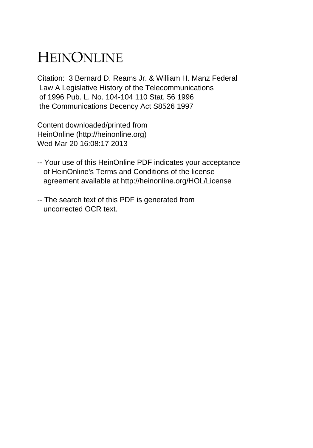# HEINONLINE

Citation: 3 Bernard D. Reams Jr. & William H. Manz Federal Law A Legislative History of the Telecommunications of 1996 Pub. L. No. 104-104 110 Stat. 56 1996 the Communications Decency Act S8526 1997

Content downloaded/printed from HeinOnline (http://heinonline.org) Wed Mar 20 16:08:17 2013

- -- Your use of this HeinOnline PDF indicates your acceptance of HeinOnline's Terms and Conditions of the license agreement available at http://heinonline.org/HOL/License
- -- The search text of this PDF is generated from uncorrected OCR text.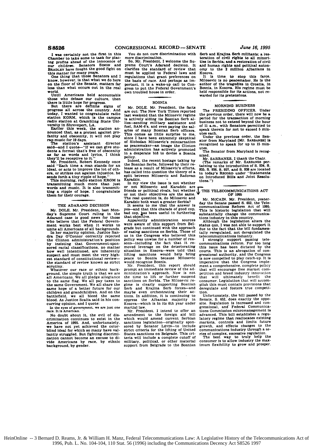**I** was certainly not the first in this Chamber to take some to task for plac-ing **profits** ahead of the Innocence of our children. Senators **SIMON** and **BRADLEY** have fought the **good** fight on

this matter for many years. One thing that those Senators and **<sup>I</sup>** know, however, is that what we do here on the floor of the Senate, matters far less than what occurs out in the real world.

Until Americans **hold** accountable

those who debase our culture, then there is little hope for progress. But there are definite signs of progress **all** across the country. And today. **I** wanted to congratulate radio station **KORM.** which is the campus radio station at Grambling State **Unl-**

versity in Shreveport, **LA.** Earlier this week, the station an-nounced that, as a protest against pro-fanity and obscenity, it will not play

rap music for 19 days.<br>The station's assistant director<br>said--and I quote--"If we can give stu-<br>dents a format that's free of obscenity as far as words and lyrics, I think

they'll be receptive to it." Mr. President, Robert Kennedy once **said** "Each time a man stands for an ideal, or acts to improve the lot of othera, or strikes out against injustice, he

sends forth a tiny ripple of hope."<br>This morning, radio station KRGM is<br>transmitting much more than just<br>words and music. It is also transmit-<br>ting a ripple of hope. I congratulate<br>them for their courage.

# **THE ADARAND DECISION**

Mr. **DOLE.** Mr. President, last Mon-day's Supreme Court ruling in the Adarand case **is** good news for those who believe that the Federal Government works best when it works to unite all Americans of all backgrounds. In her majority opinion. Justice San-dra Day O'Connor correctly rejected the Clinton administration's position **by** insisting that Government-sponsored racial classifications, no matter how well intentioned, are inherently suspect and must meet the very **high-est** standard of constitutional reviewthe standard of review known as strict scrutiny.<br>Whatever our race or ethnic back-

ground, the simple truth is that we are all Americans. We all pledge allegiance to the same flag. We all pay taxes to the same Government. We all share the same hope of a better future for our children and grandchildren. And on the battlefield, we **all** bleed the same blood. As Justice Scalia said in his concurring opinion, and I quote:

**In** the eyes of governnent. we **are** just **one** race. It is American. "

No doubt about it. the evil of discrimination continues to exist in the<br>America of 1995. And. unfortunately.<br>we have not yet achieved the color-<br>blind ideal for which so many have valiantly struggled. But fighting discrimi-nation cannot become an excuse to **di**vide Americans **by** race, **by** ethnic background, **by** gender.

From South and the standard of review that omy to must be applied to Federal laws and Kosova.<br>regulations that grant preferences on It is regulations that grant preferences on It is time to stop this farce portant. it is a wake-up call to Con- author of the tragedies in Croatia, in gress to put the Federal Government's Bosnia, in Kosova. His regime must be press to put the Federal Government's Bosnia, in Kosova. His regime must be gress to put the Federal Government's Bosnia, in Kosova. His regime must be own troubled house in order.

### **BOSNIA**

Mr. **DOLE.** Mr. President, the facts **MORNING BUSINESS** are out: The New York Times reported last weekend that the Milosevic regime is actively aiding its Bosnian Serb al-<br>lies—eending military assistance and business not to extend beyond the hour<br>fuel SAM-fis and even paying the sal- of Il a.m., with Senators permitted to lies—sending military assistance and business not to extend beyond the hour<br>hel, SAM-6's, and even paying the sal- of 11 a.m., with Senators permitted to<br>naries of many Bosnian Serb officers. Speak therein for not to excee as peacemaker-an image the Clinton recognized to speak for up to 15 min<br>administration has actively promoted utes.<br>The Senator from Maryland is recognized under the Senator from Maryland is recognized. in a desperate bid to devise a Bosnia **The Senator from Maryland is reeog**

policy.<br>Indeed, the recent hostage taking by the Bosnian Serbs, followed by their rethe Bosnian Serbs, followed by the SARBANES. I thank the Chair.<br>The Bosnian Serbs, followed by their re-<br>taining to the introduction of S. 334, S. on booman booms, boombox of the introduction of S. 934, 8.<br>lease as a result of Milosevic's efforts, 935, S. 936, 8. 937, and S. 938 are located<br>has called into question the theory of a in today's RECORD under "Statements<br>

NETAURICALICAL INC. In my view the issue is not whether<br>or not Milosevic and Karadzic are<br>friends or political rivals, but whether **J** THE TELECOMMUNICATIONS ACT<br>or not their objectives are the same. OF 1995 The real question is, do Milosevic and Mr. McCAIN. Mr. President. yester Karadzic both want a greater Serbia? day the Senate passed **S. 652,** the Tele

bad cop, has been useful in furthering that objective.

Example that interests a state of this support from Bel-<br>status quo, I was not able to support it.<br>grade but continued with the approach due to the fact that the bill fundamen-<br>of easing sanctions on Serbia. Those of sally In the Congress who believed this telecommunications industry.<br>policy was unwise for a number of rea-<br>policy was unwise for a number of rea-**I** strongly support passing telesome-including the fact that it re-communications reform. For too long<br>moved leverage on the deteriorating this issue has been dictated by the<br>situation in Kosova--were told that courts. This is an abrogation of con-<br>lifti

ministration's approach. Now is not petition and breed industry innovation<br>the time to lift or further suspend that will ultimately benefit the<br>sanctions on Serbia. The Milosevic re-consumer. Legislation that will accomgime is clearly supporting Bosnian plish this must contain provisions tha Serb and Krailna Serb forces--and deregulate and fosters true competi maybe even orchestrating their ac- tion. tions. In addition, it is continuing to Unfortunately. the bill passed by th oppress the Albanian majority in Senate. **S. 652.** does exactly the oppo oppress the Albanian majority in Kosova-which is in its 6th year under martial law.<br>martial is increased and context and context and context and context and context and context and context and context and context and conte

amendment to the foreign aid bill advanced. This bill establishes a regu which would amend current Serbian latory regime that reallocates exsstln sanctions legislation-originally spon- markets, controls and limits futures in the valid and limits future spon-<br>sanctions legislation-originally spon- markets, controls and limits future<br>sored by Senator Levin-to include sored by Senator LEVIN-to include growth, and effects changes to the strict criteria for the lifting of United communications industry through a sestrict criteria for the lifting of United communications Industry through a **se** States sanctions on Belgrade. This cri- ries of complex, excessive regulation. States sanctions on Belgrade. This cri- ries of complex, excessive regulation.<br>teria will include a complete cutoff of The best way to truly help the military, political, or other material support from Belgrade to the Bosnian

You do not cure discrimination with Serb and Krajina Serb militants: a res-<br>more discrimination.<br>So, Mr. President, I welcome the Su-<br>tles in Serbla; and a restoration of civil more discrimination. The country of the country of the state of the Su-<br>So, Mr. President, I welcome the Su-<br>ties in Serbia; and a restoration of civil<br>preme Court's Adarand decision. It and human rights and political auto

the basis of race. And perhaps **as** im- Milosevic is no peacemaker. He **is** the warded for its pretensions.

the previous order, there will now be a period for the transaction of morning

Under the previous order, the Senator from Maryland [Mr. SARBANES] is<br>recognized to speak for up to 15 min-

nized. **NRT AND SERVESTEED IN THE CONSUMER**<br>Mr. SARBANES. I thank the Chair.

e

It is seems to me that the answer is communications Reform Act of 1995<br>as—and that this character of good cop, This is historic legislation that will be accepted of good cop, This is historic legislation that will<br>bad cop, **e] e**

at objective.<br>Apparently administration sources although the legislation alters the

 $\frac{1}{2}$  in the assume well congress in a the Congress in a through the Congress<br>peace to Bosnia because Milosevic is now compelled to play catch-up. It is<br>would recognize Bosnia.  $\frac{1}{2}$  imperative that the Congress i Mr. President. this report should ment a comprehensive, complete policy prompt an immediate review of the **ad-** that will encourage free market corn

> Statute, S. Martin Statute, and Congressional, and- Federal Communica-Mr. President. I intend to offer an tions Commission micromanagement **Ii**

consumer is to allow industry the max-<br>imum flexibility to grow and prosper.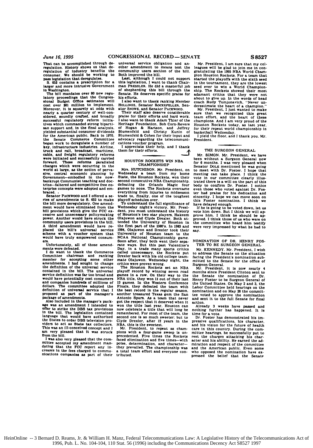That can be accomplished through deregulation. History shows us that de-regulation of industry benefits the consumer. We should be working to

pass legislation that deregulates. **S. 652** contains **a** prescription for a larger and more intrusive Government **In** Washington.

The **bill** mandates over **80** new regulatory proceedings that the Congres-sional Budget Office estimates **will** cost over **\$81** million to implement. Moreover. it **is** squarely at odds with nearly a quarter century **of** well-considered. soundly crafted, and broadly successful regulatory reform initia-tives which commanded strong biparti**asan** support and, in the final analysis. yielded substantial consumer dividends for the American public. Back in **1970.** the Senate Commerce Committee began work to deregulate a number of<br>key, infrastructure industries. Airline. key. infrastructure industries. Airline. truck and **rail.** broadcast, maritime. were initiated and successfully carried forward. These reforms paralleled changes which were occurring in the changes when were occurring in the<br>world at large, as the notion of perva-<br>sive, central economic phaning by<br>Covernment-embodied in the now-<br>bankrupt Communist teaching and doc-<br>trine-faltered and competitive free en-<br>terp

braced...<br>
Senator Packwood and I offered a se-<br>
ries of amendments to S. 652 to make<br>
the bill more deregulatory. One amend-<br>
ment would have eliminated from the<br>
bill provisions which give the FCC ex-<br>
ressive and unnece scheme with a voucher system that would have truly empowered consum-<br>would have truly empowered consum-

ers.<br>Unfortunately, all of those amend-

Unfortunately, all of those amend-<br>
I do want to thank the Commerce<br>
Committee chairman and ranking<br>
member for accepting some other<br>
amendments. I had sought to change the definition of the universal service<br>contained in the bill. The universal service<br>definition was far too broad and<br>would have potentially cost consumers<br>and companies hundreds of millions of parameter amendments and dollars. The committee adopted the definition of universal service that I proposed as part of the manager's pack-<br>package of amendments.<br>Also included in the manager's pack-<br>ge was an amendment I i

offer to strike the DBS tax provisions I in the bill. The legislation contained language that would have authorized the States to order DBS television prothe States to order DBS *television* pro-<br>viders to act as State tax collectors.<br>This was an ill-concelved concept and I

an very pleased that it was struck<br>
I'was also very pleased that the com-<br>
I'was also very pleased that the com-<br>
mittee accepted my amendment man-<br>
dating that the **FCC** report any increases in the fees charged to commu- nications companies as part of their

universal service obligation and an-<br>other amendment to means test the<br>community users section of the bill.<br>Both improved the bill.<br>Last, although I could not support<br>this legislation, I want to thank Chair-<br>man Prassatza.

**HOLLINGS. Senator ROCKEFELLER. Senator SNOWE, and Senator PACKWOOD.** Their staff also deserve considerable

praise for their efforts and hard work.<br>I also want to thank Adam Thier of the Heritage Foundation, Bob Corn-Revere<br>of Hogan & Hartson, and Jeffrey<br>Blumenfeld and Christy Kunin of<br>Blumenfeld & Cohen for their input and<br>advocacy regarding the telecommunications voucher program.<br>I appreciate their help

them for their efforts.

# **HOUSTON** ROCKETS WIN **NBA**

CHAMPIONSHIP<br>Mrs. HUTCHISON. Mr. President, on Mrs. **HUTCHISON.** Mr. President. on Wednesday **a** team from my home State. the Houston Rockets. won their second consecutive **NBA** Championship. everything from injuries to midseason<br>trade to, finally, one of the toughest<br>playoff schedules over.<br>To understand the full significance of

For the material of the history. Mr. President with density in<br>the victory, Mr. President the history and the history and Elyde Delay<br>of Houston's two star players. Hakeem clearly of Houston's two star players. Hakeem<br>tend

got the respect that it deserved when it won the title last year. Houston can now celebrate **a** title that will long be

second one is so much sweeter: but to<br>Ciyde Drexier, after 12 years in the<br>MRA, this is the sweetest.<br>Mr. President, to repeat as charm-<br>nons with a four-game sweep is un-<br>precedented. Five times the Rockets<br>faced eliminat they prevailed, The championship was a total team effort and everyone con- tributed.

**Mr.** President. **I** am sure that **my col**leagues will be **glad** to join me in con-gratulating the **1995 NBA** World Cham-**Pion** Houston Rockets. For a team that started the playoffs with the sixth seed in the tournament, they are the lowest seed ever to win a World Champion-ship. The Rockets showed their most adamant critics that they were not about to give up. In the words of head coach Rudy Tomjonavich. "Never **un-**derestimate the heart of a champion." Mr. President. **I** just wanted to make

sure that we recognized this great team effort, and the heart of these champions. And **I** am very proud of the Houston Rockets today, as last year. for their repeat world championship in basketball Wednesday. **I** yield the floor, and **I** thank you. Mr.

President.

# THE **SURGEON GENERAL**

Mr. **SIMON.** Mr. President, we have been without **a** Surgeon General now for **6** months. I was very pleased when Senator **DOLE** mentioned he was **going** to meet with Dr. Foster. **I** hope that meeting can take place. **I** think the vote in our committee clearly illustrated there is a will on the part **of** this body to confirm Dr. Foster. **I** notice even those who voted against Dr. Fos-ter had praise for his dedication and sincerity. **I** hope we can move soon on this Foster nomination. I think we have delayed enough. **If** he **is** going to be voted down. let us

vote him down. But I think we will ap-<br>prove him. I think he should be ap-<br>proved. I think those of us who were on<br>the committee who heard him testify were very impressed **by** what he **had** to say.

Mr. **KENNEDY.** Mr. President, **I** wish to address the Senate on the situation facing the President's nomination submitted to the Senate for the office of Surgeon General.

Mr. President. it is now nearly 4 months since President Clinton sent to the Senate the nomination of Dr. Henry Foster to be Surgeon General of the United States. On May 2 and **3.** the Labor Committee held hearings on the nomination and on **May 26** the committee voted to approve the nomination and sent it to the full Senate for final action.

Already **3** weeks have passed and nothing further has happened. It Is time for a vote.

Dr. Foster has demonstrated his Impressive qualifications, his character. and his vision for the future **of** health care in this country. During the committee hearings, he successfully put to rest the charges attacking his character and his ability. He earned the admiration and respect of the committee **and** the American public. Even some **who** opposed the nomination have ex-pressed the belief that the Senate

**NOMINATION** OF DR. HENRY **FOS-**TER TO **BE SURGEON GENERAL**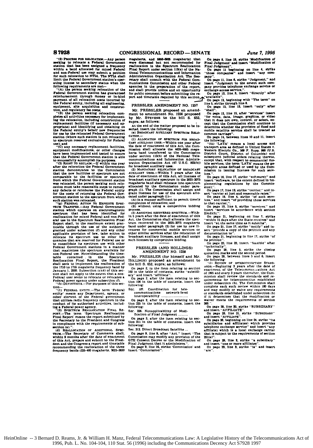"(2) PROCESS POR RELOCATION Any navann (2) PROCESS FOR MELOCATION.-Any person<br>seating to relocate a Federal Government<br>station that has been assigned a frequency<br>within a band allocated for mixed Federal and non-Federal use may submit a petition<br>for such relocation to NTIA. The NTIA shall<br>limit the Federal Government station's operating license to secondary status when the folk

owing requirements are met.<br>(A) the person seeking relocation of the<br>leral Government station has guaranteed ŏÕ, reinfurnement through money or in-kind<br>payment of all relocation costs incurred by<br>the Federal entity, including all engineering,<br>equipment, site acquisition and construc-

equipment, and regulatory fee costs;<br>"(B) the person seeking relocation com-<br>pletes all activities necessary for implement-<br>ing the relocation, including construction of replacement facilities (if necessary and appropriate) and identifying and obtaining on<br>the Federal entity's behalf new frequencies<br>for use by the relocated Federal Government station (where such station is not relocating to spectrum reserved exclusively for Federal

to spectrum reserved exclusively for Federal<br>use), and<br>use); and<br>"(C) any necessary replacement facilities,<br>equipment modifications, or other changes<br>have been implemented and tested to ensure<br>that the Rederal Government s was relocated, the person seeking such rel cation must take reasonable steps to reme d۷ any defects or reimburse the Federal entity any unsuces of returning the Pederal Government station to the spectrum from which<br>such station was relocated.<br>with such station was relocated.<br>"(g) PEDERAL ACTION TO EXPEDITE SPEC-<br>TRUM TRANSFER.--Any Pederal Government

station which operates on electromagnetic station which operates on electromas<br>spectrum that has been identified<br>reallocation for mixed Federal and noneral use in the Spectrum Reallocation Pinal eral use in the Spectrum relationship and a Report shall, to the maximum extent practicable through the use of the authority graphical propries applicable provision of law, take action to relocate its spectrum use to other Federal Government stations in a manner that maximizes the spectrum available for nat maximizes the spectrum available for<br>non-Pederal use. Notwithstanding the time-<br>table contained the beneficial Realication Final Report, the President<br>shall seek to implement the realication of shall see a to implement the requency band by<br>danuary 1, 2000. Subsection ( $c(t)$ ) of this section shall not apply to the extent that a non-<br>tion shall not apply to the extent that a non-Federal user seeks to relocate or relocates a deral user sceas to refocate or refocation<br>deral power agency under subsection (<br>(h) DEFINITIONS.--For purposes of this

tion-<br>"(1) FEDERAL ENTITY.-The term 'Federal'<br>"Constitution's agency, or " means any Department, agency, or<br>element of the Federal government .<br>ht:hei that utilizes radio frequency spectrum in the conduct of its authorized activities, includ-

ing a Federal power agency.<br>"(2) SPECTRUM REALLOCATION FINAL REexperience that the experimental Report and Tenacion<br>Pinal Report means the report submitted by<br>the Secretary to the President and Congress<br>in compliance with the requirements of sub-

n computation of a her requirements of surface section (a)."<br>
(d) REALLOCATION OF ADDITIONAL SPECTRUM...The Secretary of Commerce shall,<br>
within 9 months after the date of enactment of this Act, prepare and submit to the Presirecommending the reallocation of the three<br>frequency bands (225-400 megahertz, 3625-3650

memberts and 6850-5006 memberts) that meganerus, and hence meganerus) unau<br>were discussed but not recommended for<br>reallocation in the Spectrum Reallocation<br>Final Report under section 113(a) of the National Telecommunications and Information Administration Organization Act. The Secretary shall consult with the Federal Communications Commission and other Federal agencies in the preparation of the report, and shall provide notice and an opportunity for public comment before submitting the r port and timetable required by this section.

PRESSLER AMENDMENT NO. 1257

Mr. PRESSLER proposed an amendment to amendment No. 1256 proposed by Mr. STEVENS to the bill S. 652, sunra: as follows:

equine, as solutions.<br>
At the end of the matter proposed to be in-<br>
serted, insert the following:<br>
(e) BROADCAST AUXILIARY SPECTRUM RELO-

the date of enactment of this Act, the Com-<br>mission shall allocate the 4635-4685 mega-<br>hertz band transferred to the Commission<br>under section 113(b) of the National Tele-<br>communications and Information Adminis-<br>tration Org

communication and the transmission and the transmission of the branches and interpersion of BRACHLIAR ARE and the contract of the branches and the magnitude of the branches in the angular spectrum in the 2025-2075 and the

process. :0cess.<br>(3) Assigning recovered spectrum.—With-(3) ASSUSSING REACT SERVER OF PRIGHT OF THE ACT AND ACT. The CONSTRAINING SCALE AND ACT THE CONSTRAINING REAL CONDITION THE CONSTRAINING DRIVING THE DRIVING THE BULGARY OF THE BULGARY OF THE BULGARY OF THE BULGARY OF THE B Censees for commercial mobile se -<br>Tylces other similar services after the relocation of<br>broadcast auxiliary licenses, and shall assign

# PRESSLER (AND HOLLINGS) AMENDMENT NO. 1258

such licenses by competitive bidding.

Mr. PRESSLER (for himself and Mr. HOLLINGS) proposed an amendment to<br>the bill S. 652, supra; as follows:

on page 2, in the item relating to section<br>102 in the table of contents, strike "subsidi-<br>ary" and insert "affiliate".<br>To page 2, after the item relating to sec-<br>ton 106 in the table of contents, insert the

following:

Sec. 107. Coordination for tale communications<br>interoperability .... network-level

On page 2, after the item relating to section 225 in the table of contents, insert the following:

226. Nonapplicability of Modi-Sec. fication of Final Judgment.

On page 3, after the item relating to sec-<br>tion 311 in the table of contents, insert the following:

Sec. 312. Direct Broadcast Satellite

On page 9, line 8, after "Act." insert "The Commission may modify any provision of the<br>GTE Consent Decree or the Modification of<br>Final Judgment that it administers."<br>On page 9, line 16, strike 'Commission' and

insert "Commission"

On page 9, line 19, strike 'Modification of<br>'Inal Judgment' and insert 'Modification of Final Judgment".

On page 11 beginning on line 4, strike<br>those companies" and insert "any com- $\ldots$ pany".

any".<br>On page 11, line 6, strike "Judgment," and insert "Judgment to the extent such com-<br>pany provides telephone exchange service or

exchange access service,".<br>On page 12, line 3, insert "directly" after<br>"available".

The compact of the compact of the compact of the compact of the single intervals in the compact of the compact of the compact of the compact of the compact of the compact of the compact of the compact of the compact of the  $-11$ 

"nami".<br>Compage 12, line 15, after "services" insert<br>"for voice, data, image, graphics, or video<br>that it does not own, control, or select, ex-<br>cept that the Commission shall continue to determine whether the provision of fixed and<br>mobile satellite service shall be treated as

common carriage".<br>
On page 14, between lines 10 and 11, insert<br>
the following:<br>
"Carriage".<br>
"Carriage".<br>
"Carriage".

"(ti) "LATA" means a local access and<br>transport area as defined in United States v.<br>Western Electric Co., 569 P. Supp. 990 (U.S.<br>District Court, District of Columbia and<br>subsequent judicial orders relating thereto,<br>except sion in issuing licenses for such services.

.co. .<br>On page 16, line 17, strike "softwarer" " and insert "software, to the extent defined in im-<br>plementing regulations by the Commis-

On page 17, line 12, strike "carrier: " and insert

on page 17, the 12, strike carrier, music<br>ert "carrier at just and reasonable rates."<br>On page 19, line 4, strike "of such sees," and insert "of providing those serviof such serv. tes. es, and insert of providing those services<br>othat carrier,".<br>On page 19, line 5, strike "services," and to

"services in accordance with section Incart  $214(4)(5)$ 

14(d)(5);",<br>On page 21, beginning on line 7, strike<br>within 15 days after the State receives" and

insert "at the same time as it submits".<br>On page 21, line 17, strike "notify" and inon page  $s_1$ , muse 1, surface "notify" and in-<br>sett "provide a copy of the petition and any<br>documentation to".<br>On page 21, beginning in line 17, strike "of<br>the petition".

ັດສ

page 23, line 23, insert "feasible" after<br>hnically".

"technically".<br>
On page 28, line 5, strike the closing<br>
quotation marks and the second period.<br>
On page 23, between lines 5 and 6, insert

On page 22, between lines 5 and 6, insert<br>the following:<br>"the following:<br>Example of the contract of the state of<br>any ABD. Help and the state of<br>the state of the Telecommunications Act<br>of 1985 and every 3 years thereafter, complete each such review within 180 days<br>and may modify or waive any requirements<br>or standards established under subsection (b) if it determines that the modification or slver meets the requirements of section

200.".<br>  $20.$  On page 28, line 20, atrike "SUBSIDIARY"<br>
and insert "AFFILIATE".<br>
On page 28, line 21, strike "SUBSIDIARY"<br>
and insert "AFFILIATE".<br>
The mage 28, beginning on line 24, strike "its<br>
subsidiaries and affiliat 251/aV

page 29, line 2, strike "a subsidiary" and insert "one or more affiliates".<br>and insert "one or more affiliates".<br>On page 29, line 3, strike "is" and insert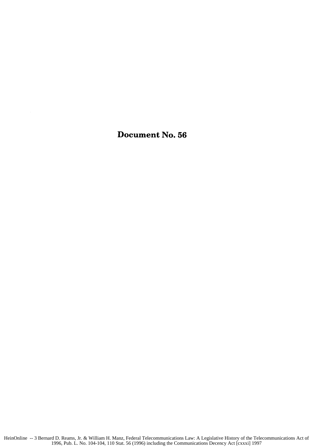Document No. **56**